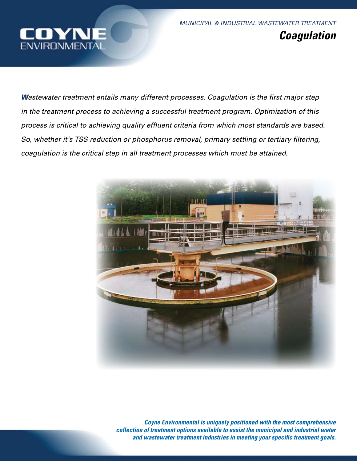

*MUNICIPAL & INDUSTRIAL WASTEWATER TREATMENT Coagulation*

*Wastewater treatment entails many different processes. Coagulation is the first major step in the treatment process to achieving a successful treatment program. Optimization of this process is critical to achieving quality effluent criteria from which most standards are based. So, whether it's TSS reduction or phosphorus removal, primary settling or tertiary filtering, coagulation is the critical step in all treatment processes which must be attained.*



*Coyne Environmental is uniquely positioned with the most comprehensive collection of treatment options available to assist the municipal and industrial water and wastewater treatment industries in meeting your specific treatment goals.*